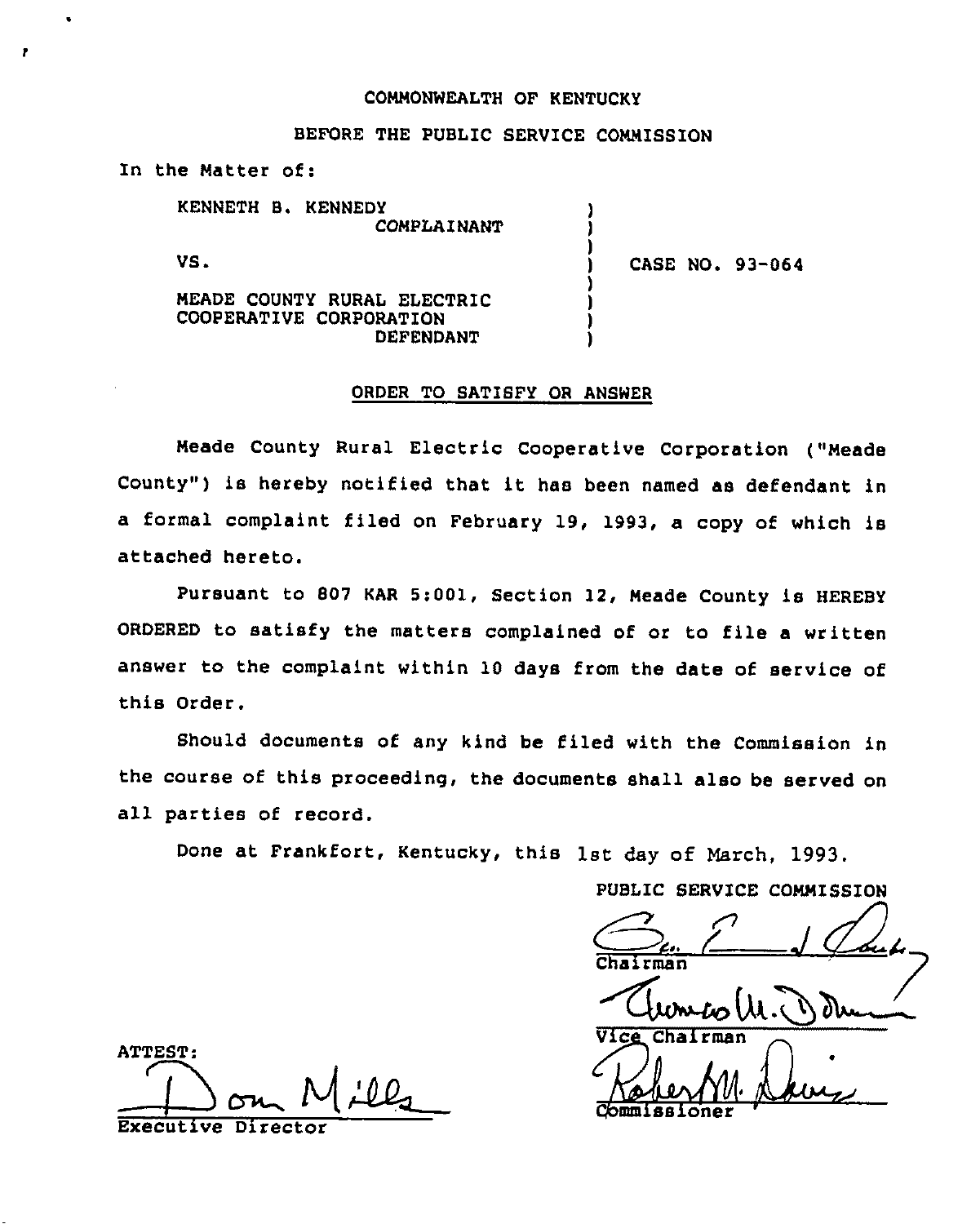## COMMONWEALTH OF KENTUCKY

## BEFORE THE PUBLIC SERVICE COMMISSION

) ) )

) ) ) )

In the Matter of:

KENNETH Bi KENNEDY COMPLAINANT

VS.

,

) CASE NO. 93-064

MEADE COUNTY RURAL ELECTRIC COOPERATIVE CORPORATION DEFENDANT

## ORDER TO SATISFY OR ANSWER

Meade County Rural Electric Cooperative Corporation ("Meade County") is hereby notified that it has been named as defendant in a formal complaint filed on February 19, 1993, a copy of which is attached hereto.

Pursuant to 807 KAR 5:001, Section 12, Meade County is HEREBY ORDERED to satisfy the matters complained of or to file a written answer to the complaint within 10 days from the date of service of this Order.

Should documents of any kind be filed with the Commission in the course of this proceeding, the documents shall also be served on all parties of record.

Done at Frankfort, Kentucky, this 1st day of March, 1993.

PUBLIC SERVICE COMMISSION  $\frac{(\mu \nu \omega)}{\mu \sqrt{(\mu \nu \omega)}}$ 

ATTEST: Commissioner<br>Executive Director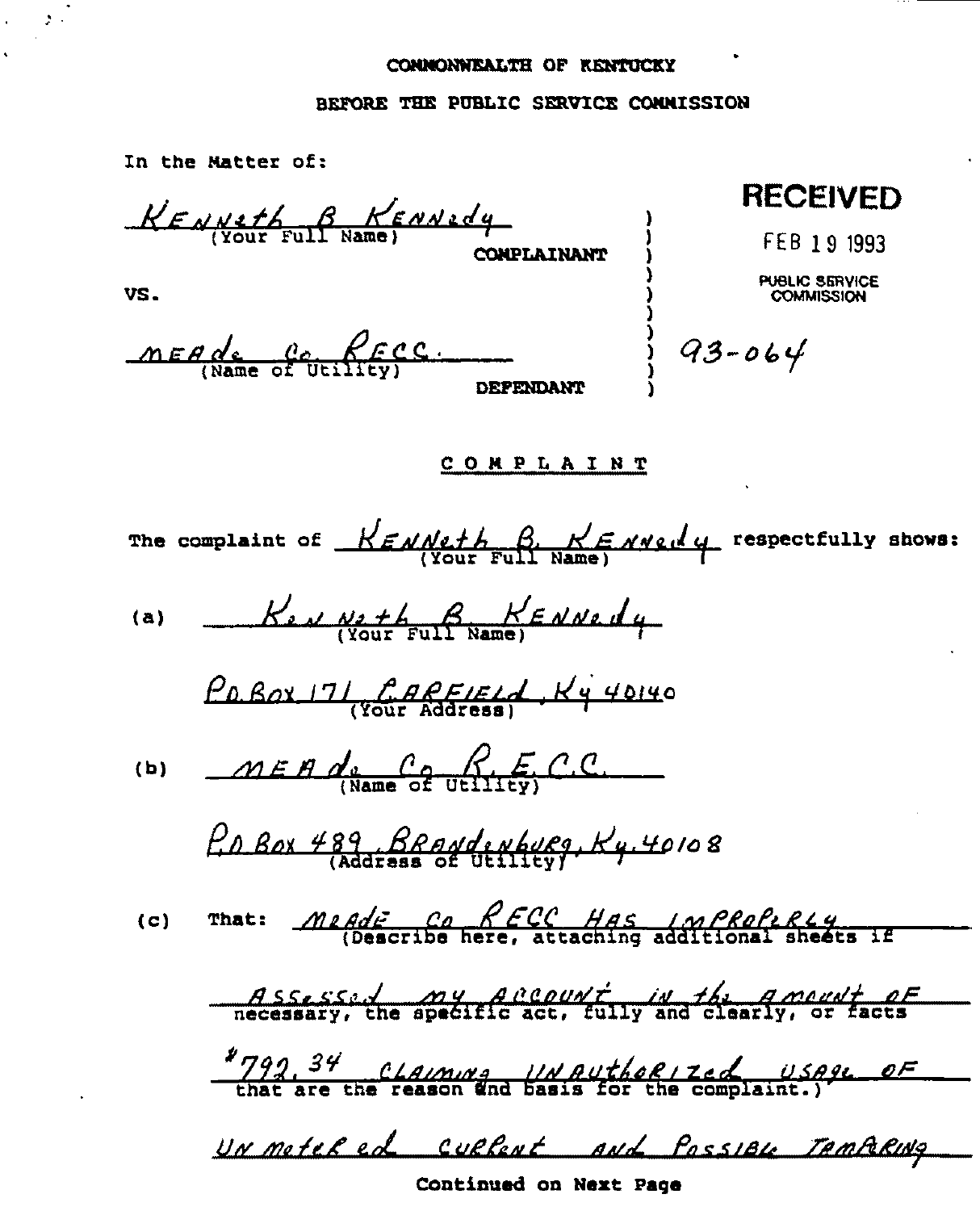## BEFORE THE PUBLIC SERVICE CONNISSION

In the Matter of:

KENNETH B KENNEdy **COMPLAINANT** 

VS.

 $MEGole$   $Qc$   $Qc$   $Qc$ . **DRFENDANT** 

**RECEIVED** 

FEB 19 1993

PUBLIC SERVICE **COMMISSION** 

 $93 - 064$ 

COMPLAINT

The complaint of  $K \in \mathcal{N}$  with  $\beta$ ,  $K \in \mathcal{N}$  well are respectfully shows:

(a) 
$$
K_{2M} \underset{\text{Your Full Name}}{\text{Max}} F \underset{\text{Name}}{\text{A}}
$$

(b) 
$$
MEH d_s \underset{\text{(Name of utility)}}{G} F.C.C.
$$

That:  $MedE$  Co RECC HAS IMPRofeRLY  $(c)$ 

Assessed my Account in the Amount of

"792, 34 CLAIMING UN AUTHORIZED USAGE OF

UN moteRed cullent and PossiBLe TAMPORING

Continued on Next Page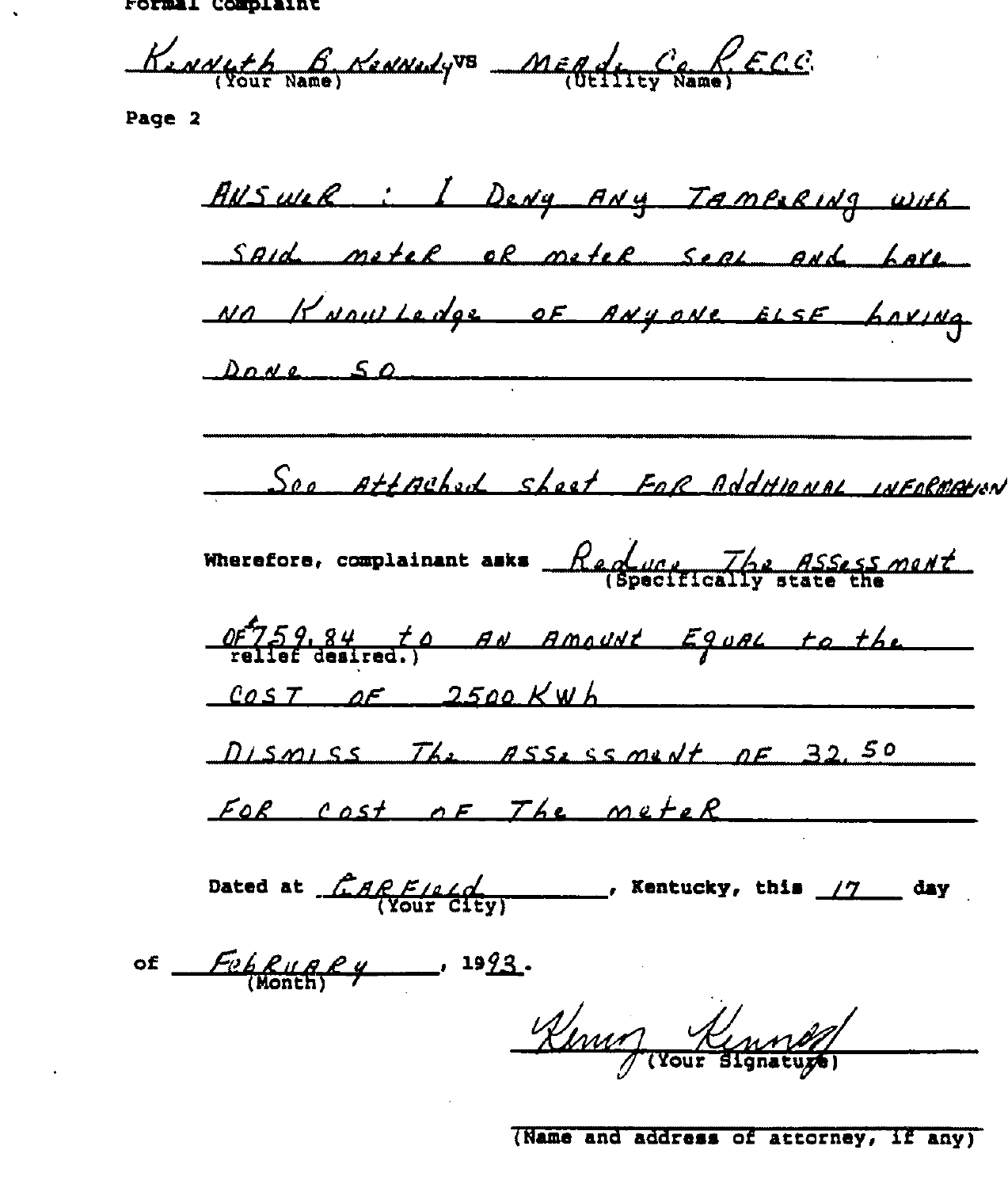Lormat Combraine

<u>Kinneth 6</u> Henneyve MERdiney Rame) E.C.C.

Page 2

AUSWER : I DENY ANY TAMBERING WITH Said metel of metel seal and have NO KNOWLEDGE OF ANYONE ELSE LOXING  $Dove 50$ See AttAched sheet FOR AddHIONAL INFORMATION Wherefore, complainant asks  $\frac{\text{Re}\phi_{\text{max}}}{\text{Sineifically area}}$  $0.05759.84$  to AN Amount Equal to the  $cos 7$  of  $2500$  KWh DISMISS The ASSESSMENT DE 32.50 For cost of The meter Dated at  $\frac{CAPE/LQ}{VOWECHW}$ , Kentucky, this  $17$  day of  $F_{\theta}F_{\theta}F_{\theta}F_{\theta}$ , 1993. Kenny Kennes

(Name and address of attorney, if any)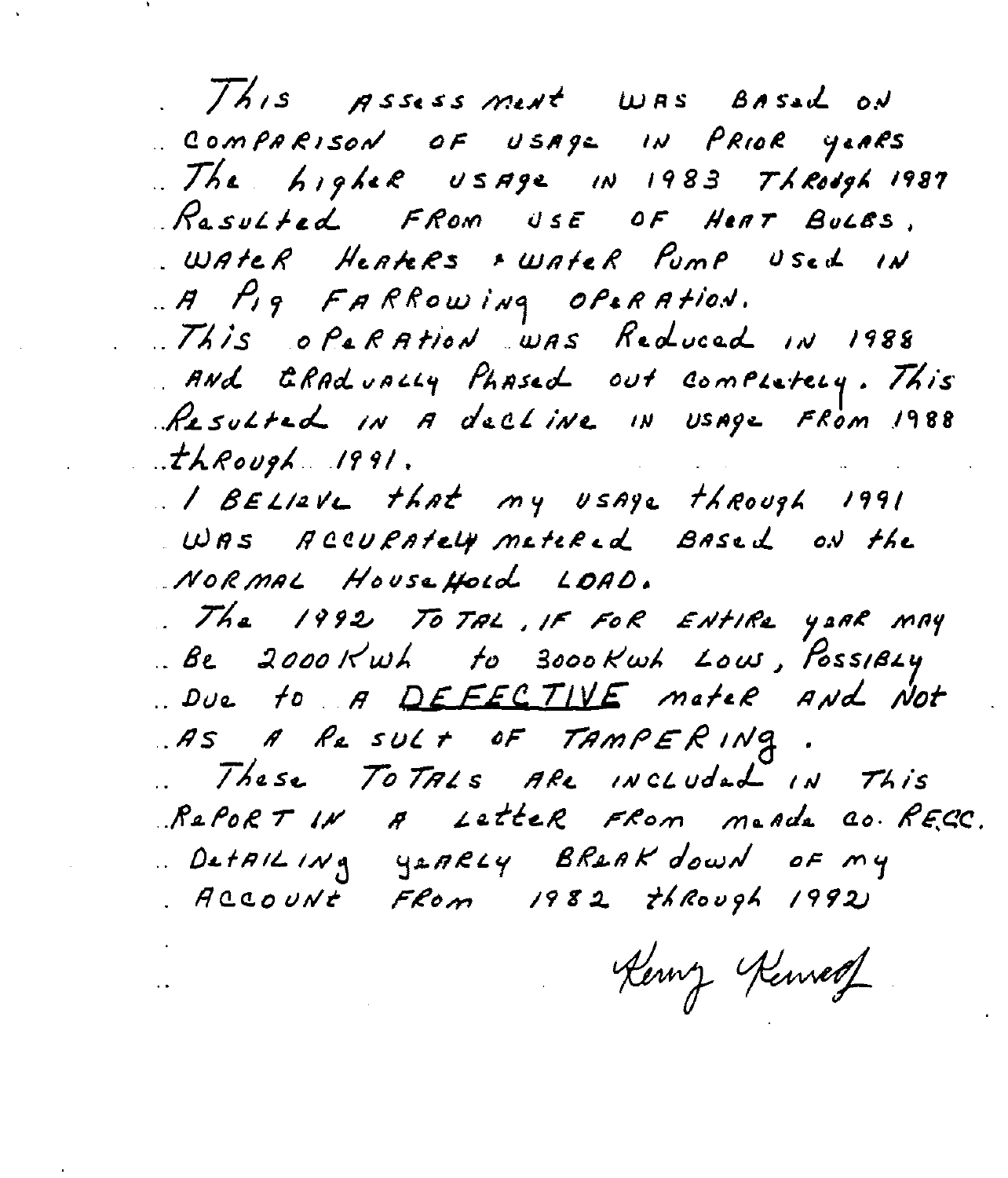This Assessment WAS BASED ON COMPARISON OF USAGE IN PRIOR YEARS .. The higher usage in 1983 Through 1987 Rasulted FROM USE OF HEAT BULES. WATER HEATERS FWATER PUMP USED IN A Pig FARROWING OP&RATION. This operation was Reduced in 1988 AND ERADUALLY PLASED out completely. This Resulted IN A decline IN Usage FROM 1988  $\therefore$ thRough 1991. I BELIZVE that my USAGE through 1991

WAS ACCURATELY metered Based ON the NORMAL HouseHold LOAD.

. The 1992 TO TAL, IF FOR ENTIRE YORR MAY Be 2000 Kwh to 3000 Kwh Low, PossiBLY Due to A DEFECTIVE mateR And Not AS A Result OF TAMPERING. .. These TOTALS ARE INCLUDED IN This RePORT IN A LetteR FROM MeAde CO. RECC. DetAILING YEARLY BREAK down OF MY RCCOUNT FROM 1982 ThRough 1992

Kerny Kenneg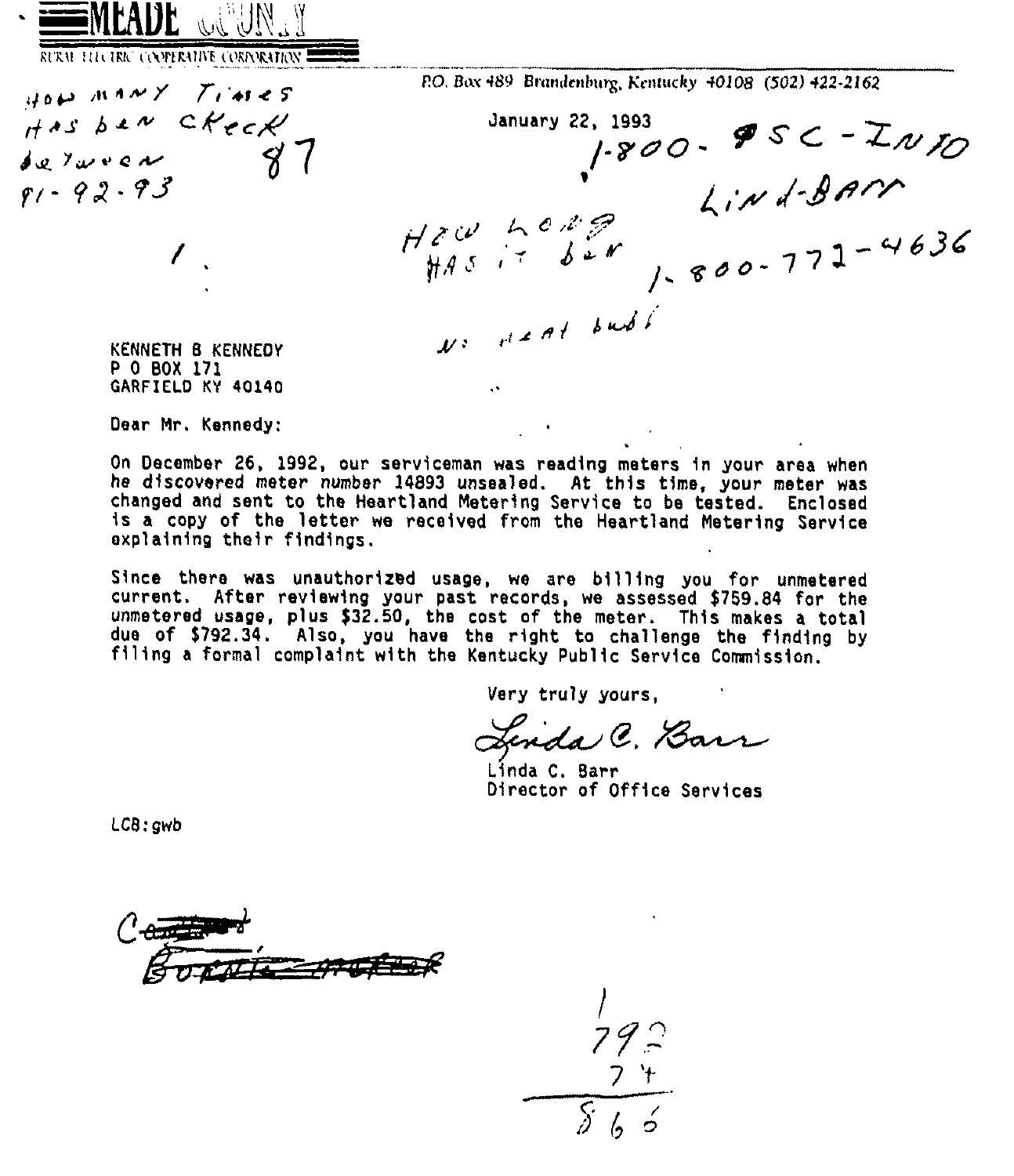$\cdot$   $\equiv$ MEADE  $\sim$  ${\mathbb U}$  ,  ${\mathbb U}$ 

 $u_0 = m \wedge v \vee \wedge T$  is  $\epsilon s$  $H$ AS ben C $K$ eck

 $de$  7  $we$   $w$  $81 - 92 - 93$ 

KURAL FLLUTRIC CONFERATIVE CORPORATION

P.O. Box 489 Brandenburg, Kentucky 40108 (502) 422-2162

, 1993<br>|-8*00* - **9** 5 C – ZN  $K$  $L$ *in*  $d$ -Barr  $H_{A5} = \frac{10000}{600}$  $1.800 - 7$ 

KENNETH 8 KENNEDY P 0 BOA 171 GARFIELD KY 4Q140

Dear Mr. Kennedy:

On December 26, 1992, our serviceman was reading meters in your area when he discovered meter number 14893 unsealed. At this time, your meter was is a copy of the letter we received from the Heartland Metering Service explaining their findings.

Since there was unauthorized usage, we are billing you for unmetered current. After reviewing your past records, we assessed \$769.84 for the unmetered usage, plus \$32.50, the cost of the meter. This makes a total due of \$792.34. Also, you have the right to challenge the finding by filing <sup>a</sup> formal complaint with the Kentucky Public Service Commission.

Very truly yours,

Linda C. Barr

Linda C. Barr Director of Office Services

LCB:gwb



 $79.2$ 7